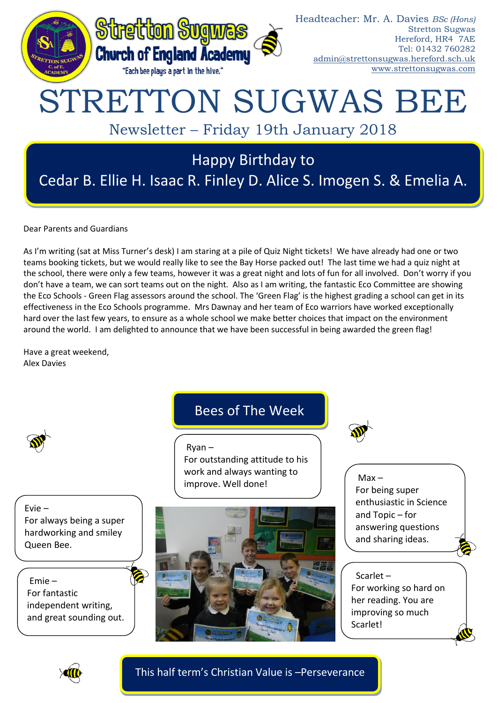

Dear Parents and Guardians

As I'm writing (sat at Miss Turner's desk) I am staring at a pile of Quiz Night tickets! We have already had one or two teams booking tickets, but we would really like to see the Bay Horse packed out! The last time we had a quiz night at the school, there were only a few teams, however it was a great night and lots of fun for all involved. Don't worry if you don't have a team, we can sort teams out on the night. Also as I am writing, the fantastic Eco Committee are showing the Eco Schools - Green Flag assessors around the school. The 'Green Flag' is the highest grading a school can get in its effectiveness in the Eco Schools programme. Mrs Dawnay and her team of Eco warriors have worked exceptionally hard over the last few years, to ensure as a whole school we make better choices that impact on the environment around the world. I am delighted to announce that we have been successful in being awarded the green flag!

Have a great weekend, Alex Davies



This half term's Christian Value is –Perseverance